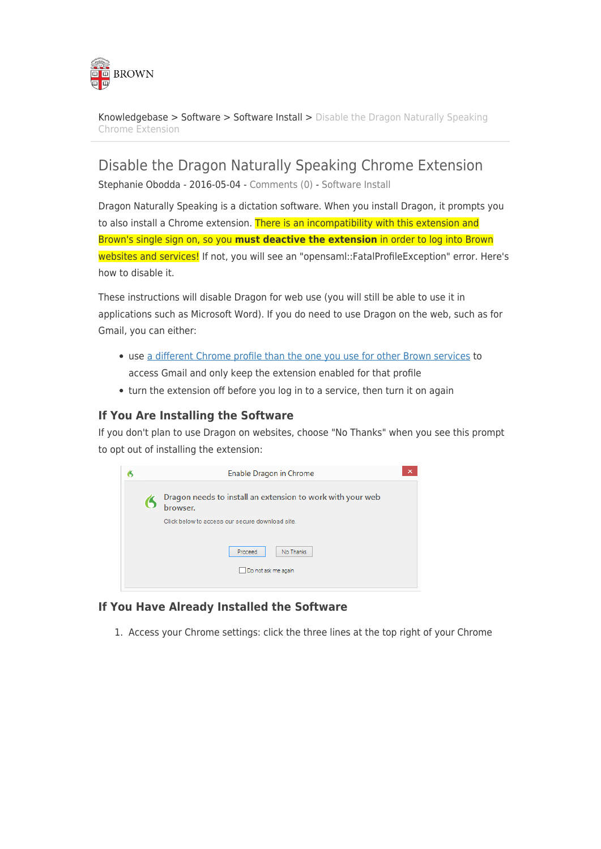

[Knowledgebase](https://ithelp.brown.edu/kb) > [Software](https://ithelp.brown.edu/kb/software) > [Software Install](https://ithelp.brown.edu/kb/software-install) > [Disable the Dragon Naturally Speaking](https://ithelp.brown.edu/kb/articles/disable-the-dragon-naturally-speaking-chrome-extension) [Chrome Extension](https://ithelp.brown.edu/kb/articles/disable-the-dragon-naturally-speaking-chrome-extension)

Disable the Dragon Naturally Speaking Chrome Extension

Stephanie Obodda - 2016-05-04 - [Comments \(0\)](#page--1-0) - [Software Install](https://ithelp.brown.edu/kb/software-install)

Dragon Naturally Speaking is a dictation software. When you install Dragon, it prompts you to also install a Chrome extension. There is an incompatibility with this extension and Brown's single sign on, so you **must deactive the extension** in order to log into Brown websites and services! If not, you will see an "opensaml::FatalProfileException" error. Here's how to disable it.

These instructions will disable Dragon for web use (you will still be able to use it in applications such as Microsoft Word). If you do need to use Dragon on the web, such as for Gmail, you can either:

- use [a different Chrome profile than the one you use for other Brown services](https://ithelp.brown.edu/kb/articles/229-use-chrome-with-multiple-google-accounts) to access Gmail and only keep the extension enabled for that profile
- turn the extension off before you log in to a service, then turn it on again

## **If You Are Installing the Software**

If you don't plan to use Dragon on websites, choose "No Thanks" when you see this prompt to opt out of installing the extension:



## **If You Have Already Installed the Software**

1. Access your Chrome settings: click the three lines at the top right of your Chrome